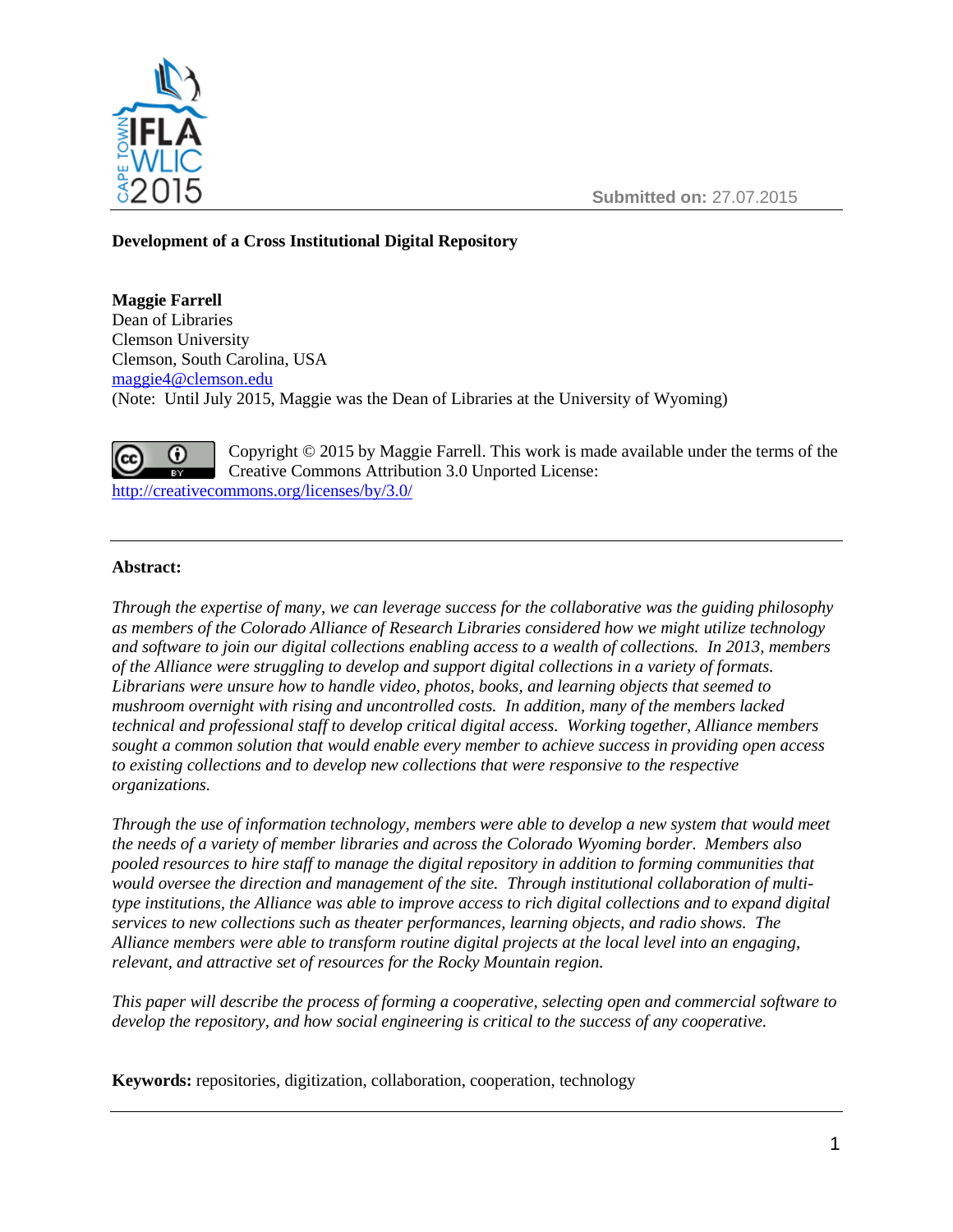

**Submitted on:** 27.07.2015

# **Development of a Cross Institutional Digital Repository**

**Maggie Farrell** Dean of Libraries Clemson University Clemson, South Carolina, USA [maggie4@clemson.edu](file:///C:/Users/Local%20Settings/Temporary%20Internet%20Files/Content.Outlook/1NWQ60I4/farrell@uwyo.edu) (Note: Until July 2015, Maggie was the Dean of Libraries at the University of Wyoming)



Copyright © 2015 by Maggie Farrell. This work is made available under the terms of the Creative Commons Attribution 3.0 Unported License: <http://creativecommons.org/licenses/by/3.0/>

## **Abstract:**

*Through the expertise of many, we can leverage success for the collaborative was the guiding philosophy as members of the Colorado Alliance of Research Libraries considered how we might utilize technology and software to join our digital collections enabling access to a wealth of collections. In 2013, members of the Alliance were struggling to develop and support digital collections in a variety of formats. Librarians were unsure how to handle video, photos, books, and learning objects that seemed to mushroom overnight with rising and uncontrolled costs. In addition, many of the members lacked technical and professional staff to develop critical digital access. Working together, Alliance members sought a common solution that would enable every member to achieve success in providing open access to existing collections and to develop new collections that were responsive to the respective organizations.* 

*Through the use of information technology, members were able to develop a new system that would meet the needs of a variety of member libraries and across the Colorado Wyoming border. Members also pooled resources to hire staff to manage the digital repository in addition to forming communities that would oversee the direction and management of the site. Through institutional collaboration of multitype institutions, the Alliance was able to improve access to rich digital collections and to expand digital services to new collections such as theater performances, learning objects, and radio shows. The Alliance members were able to transform routine digital projects at the local level into an engaging, relevant, and attractive set of resources for the Rocky Mountain region.*

*This paper will describe the process of forming a cooperative, selecting open and commercial software to develop the repository, and how social engineering is critical to the success of any cooperative.*

**Keywords:** repositories, digitization, collaboration, cooperation, technology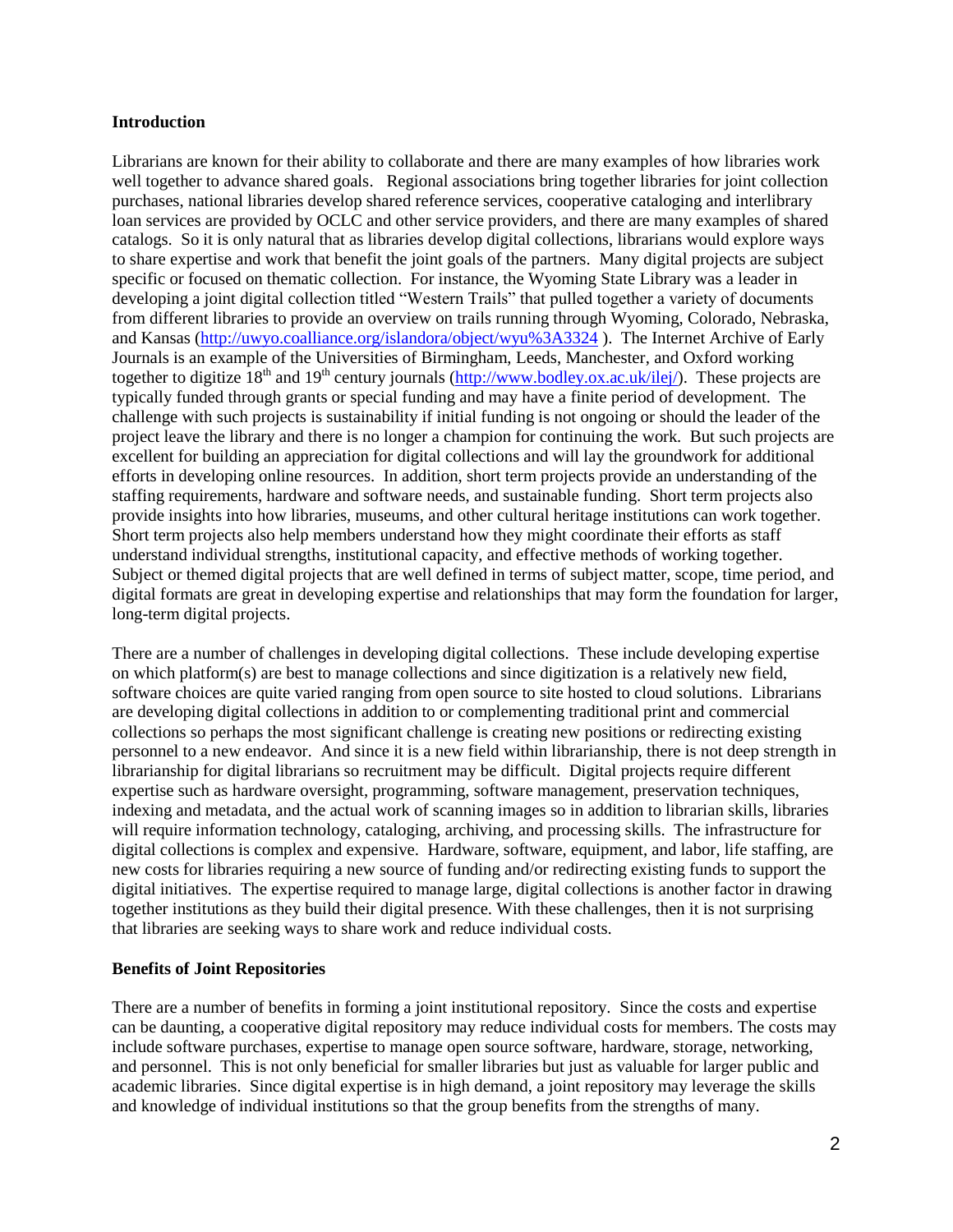#### **Introduction**

Librarians are known for their ability to collaborate and there are many examples of how libraries work well together to advance shared goals. Regional associations bring together libraries for joint collection purchases, national libraries develop shared reference services, cooperative cataloging and interlibrary loan services are provided by OCLC and other service providers, and there are many examples of shared catalogs. So it is only natural that as libraries develop digital collections, librarians would explore ways to share expertise and work that benefit the joint goals of the partners. Many digital projects are subject specific or focused on thematic collection. For instance, the Wyoming State Library was a leader in developing a joint digital collection titled "Western Trails" that pulled together a variety of documents from different libraries to provide an overview on trails running through Wyoming, Colorado, Nebraska, and Kansas [\(http://uwyo.coalliance.org/islandora/object/wyu%3A3324](http://uwyo.coalliance.org/islandora/object/wyu%3A3324) ). The Internet Archive of Early Journals is an example of the Universities of Birmingham, [Leeds,](http://www.leeds.ac.uk/library/library.html) Manchester, and Oxford working together to digitize  $18<sup>th</sup>$  and  $19<sup>th</sup>$  century journals [\(http://www.bodley.ox.ac.uk/ilej/\)](http://www.bodley.ox.ac.uk/ilej/). These projects are typically funded through grants or special funding and may have a finite period of development. The challenge with such projects is sustainability if initial funding is not ongoing or should the leader of the project leave the library and there is no longer a champion for continuing the work. But such projects are excellent for building an appreciation for digital collections and will lay the groundwork for additional efforts in developing online resources. In addition, short term projects provide an understanding of the staffing requirements, hardware and software needs, and sustainable funding. Short term projects also provide insights into how libraries, museums, and other cultural heritage institutions can work together. Short term projects also help members understand how they might coordinate their efforts as staff understand individual strengths, institutional capacity, and effective methods of working together. Subject or themed digital projects that are well defined in terms of subject matter, scope, time period, and digital formats are great in developing expertise and relationships that may form the foundation for larger, long-term digital projects.

There are a number of challenges in developing digital collections. These include developing expertise on which platform(s) are best to manage collections and since digitization is a relatively new field, software choices are quite varied ranging from open source to site hosted to cloud solutions. Librarians are developing digital collections in addition to or complementing traditional print and commercial collections so perhaps the most significant challenge is creating new positions or redirecting existing personnel to a new endeavor. And since it is a new field within librarianship, there is not deep strength in librarianship for digital librarians so recruitment may be difficult. Digital projects require different expertise such as hardware oversight, programming, software management, preservation techniques, indexing and metadata, and the actual work of scanning images so in addition to librarian skills, libraries will require information technology, cataloging, archiving, and processing skills. The infrastructure for digital collections is complex and expensive. Hardware, software, equipment, and labor, life staffing, are new costs for libraries requiring a new source of funding and/or redirecting existing funds to support the digital initiatives. The expertise required to manage large, digital collections is another factor in drawing together institutions as they build their digital presence. With these challenges, then it is not surprising that libraries are seeking ways to share work and reduce individual costs.

### **Benefits of Joint Repositories**

There are a number of benefits in forming a joint institutional repository. Since the costs and expertise can be daunting, a cooperative digital repository may reduce individual costs for members. The costs may include software purchases, expertise to manage open source software, hardware, storage, networking, and personnel. This is not only beneficial for smaller libraries but just as valuable for larger public and academic libraries. Since digital expertise is in high demand, a joint repository may leverage the skills and knowledge of individual institutions so that the group benefits from the strengths of many.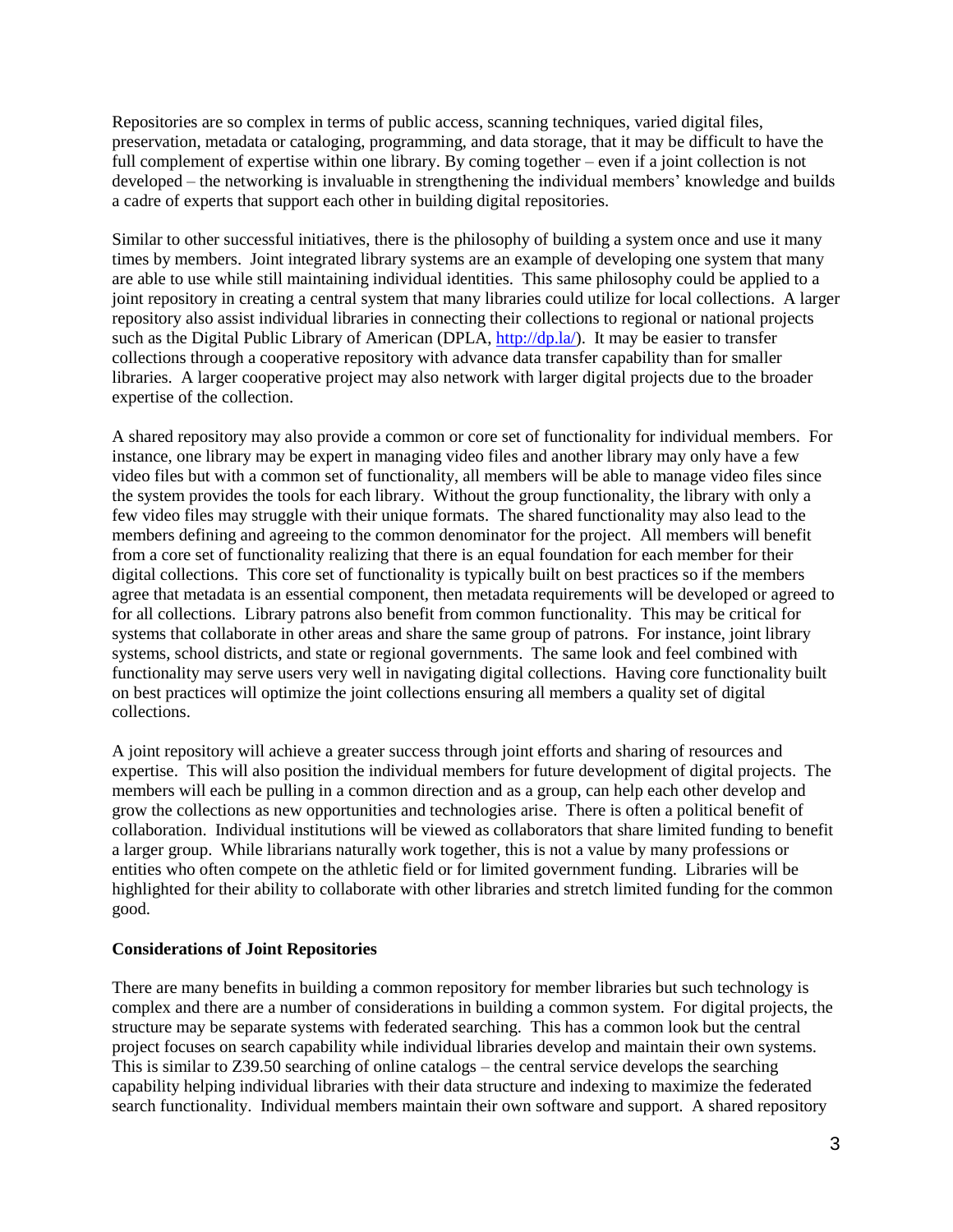Repositories are so complex in terms of public access, scanning techniques, varied digital files, preservation, metadata or cataloging, programming, and data storage, that it may be difficult to have the full complement of expertise within one library. By coming together – even if a joint collection is not developed – the networking is invaluable in strengthening the individual members' knowledge and builds a cadre of experts that support each other in building digital repositories.

Similar to other successful initiatives, there is the philosophy of building a system once and use it many times by members. Joint integrated library systems are an example of developing one system that many are able to use while still maintaining individual identities. This same philosophy could be applied to a joint repository in creating a central system that many libraries could utilize for local collections. A larger repository also assist individual libraries in connecting their collections to regional or national projects such as the Digital Public Library of American (DPLA, [http://dp.la/\)](http://dp.la/). It may be easier to transfer collections through a cooperative repository with advance data transfer capability than for smaller libraries. A larger cooperative project may also network with larger digital projects due to the broader expertise of the collection.

A shared repository may also provide a common or core set of functionality for individual members. For instance, one library may be expert in managing video files and another library may only have a few video files but with a common set of functionality, all members will be able to manage video files since the system provides the tools for each library. Without the group functionality, the library with only a few video files may struggle with their unique formats. The shared functionality may also lead to the members defining and agreeing to the common denominator for the project. All members will benefit from a core set of functionality realizing that there is an equal foundation for each member for their digital collections. This core set of functionality is typically built on best practices so if the members agree that metadata is an essential component, then metadata requirements will be developed or agreed to for all collections. Library patrons also benefit from common functionality. This may be critical for systems that collaborate in other areas and share the same group of patrons. For instance, joint library systems, school districts, and state or regional governments. The same look and feel combined with functionality may serve users very well in navigating digital collections. Having core functionality built on best practices will optimize the joint collections ensuring all members a quality set of digital collections.

A joint repository will achieve a greater success through joint efforts and sharing of resources and expertise. This will also position the individual members for future development of digital projects. The members will each be pulling in a common direction and as a group, can help each other develop and grow the collections as new opportunities and technologies arise. There is often a political benefit of collaboration. Individual institutions will be viewed as collaborators that share limited funding to benefit a larger group. While librarians naturally work together, this is not a value by many professions or entities who often compete on the athletic field or for limited government funding. Libraries will be highlighted for their ability to collaborate with other libraries and stretch limited funding for the common good.

### **Considerations of Joint Repositories**

There are many benefits in building a common repository for member libraries but such technology is complex and there are a number of considerations in building a common system. For digital projects, the structure may be separate systems with federated searching. This has a common look but the central project focuses on search capability while individual libraries develop and maintain their own systems. This is similar to Z39.50 searching of online catalogs – the central service develops the searching capability helping individual libraries with their data structure and indexing to maximize the federated search functionality. Individual members maintain their own software and support. A shared repository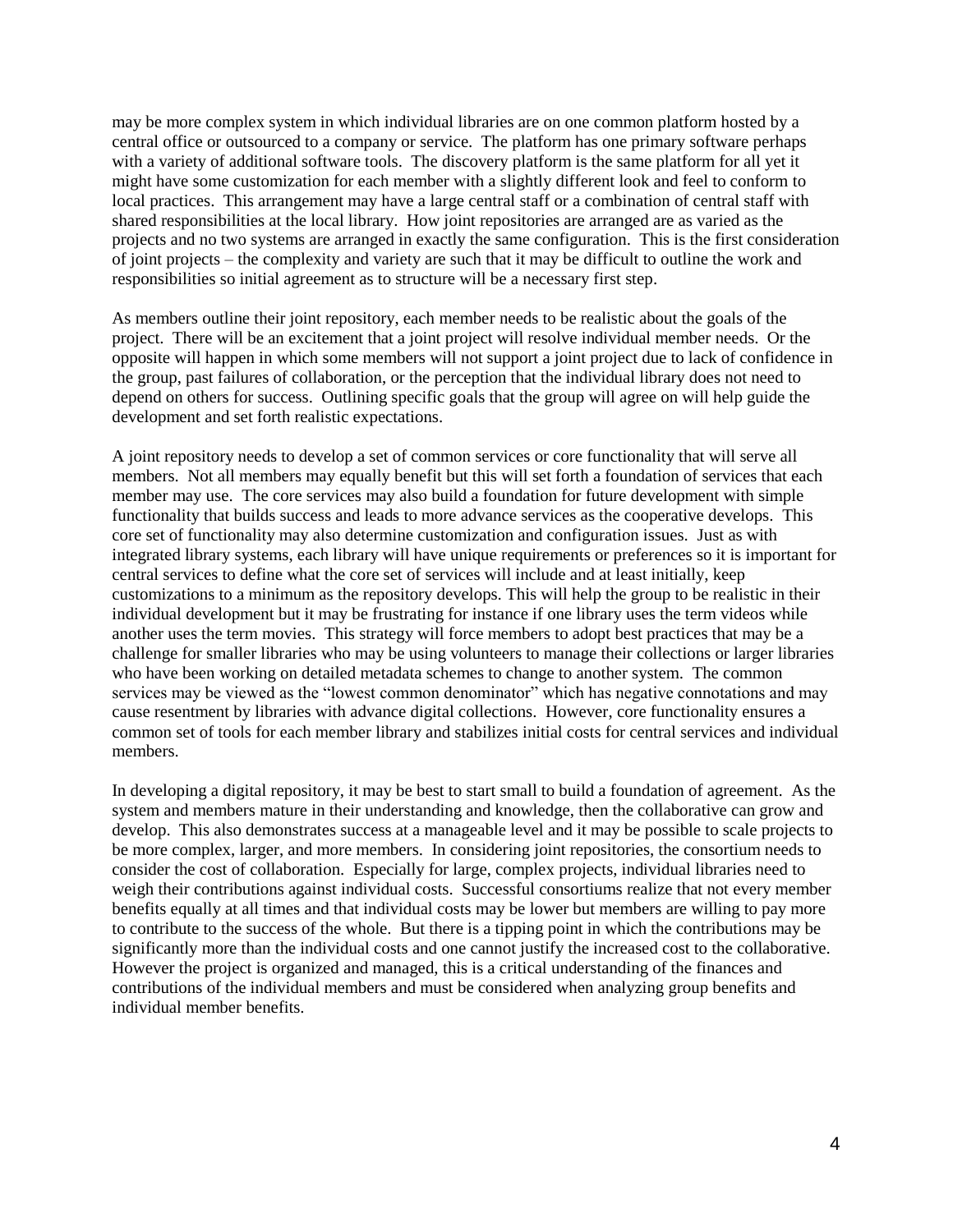may be more complex system in which individual libraries are on one common platform hosted by a central office or outsourced to a company or service. The platform has one primary software perhaps with a variety of additional software tools. The discovery platform is the same platform for all yet it might have some customization for each member with a slightly different look and feel to conform to local practices. This arrangement may have a large central staff or a combination of central staff with shared responsibilities at the local library. How joint repositories are arranged are as varied as the projects and no two systems are arranged in exactly the same configuration. This is the first consideration of joint projects – the complexity and variety are such that it may be difficult to outline the work and responsibilities so initial agreement as to structure will be a necessary first step.

As members outline their joint repository, each member needs to be realistic about the goals of the project. There will be an excitement that a joint project will resolve individual member needs. Or the opposite will happen in which some members will not support a joint project due to lack of confidence in the group, past failures of collaboration, or the perception that the individual library does not need to depend on others for success. Outlining specific goals that the group will agree on will help guide the development and set forth realistic expectations.

A joint repository needs to develop a set of common services or core functionality that will serve all members. Not all members may equally benefit but this will set forth a foundation of services that each member may use. The core services may also build a foundation for future development with simple functionality that builds success and leads to more advance services as the cooperative develops. This core set of functionality may also determine customization and configuration issues. Just as with integrated library systems, each library will have unique requirements or preferences so it is important for central services to define what the core set of services will include and at least initially, keep customizations to a minimum as the repository develops. This will help the group to be realistic in their individual development but it may be frustrating for instance if one library uses the term videos while another uses the term movies. This strategy will force members to adopt best practices that may be a challenge for smaller libraries who may be using volunteers to manage their collections or larger libraries who have been working on detailed metadata schemes to change to another system. The common services may be viewed as the "lowest common denominator" which has negative connotations and may cause resentment by libraries with advance digital collections. However, core functionality ensures a common set of tools for each member library and stabilizes initial costs for central services and individual members.

In developing a digital repository, it may be best to start small to build a foundation of agreement. As the system and members mature in their understanding and knowledge, then the collaborative can grow and develop. This also demonstrates success at a manageable level and it may be possible to scale projects to be more complex, larger, and more members. In considering joint repositories, the consortium needs to consider the cost of collaboration. Especially for large, complex projects, individual libraries need to weigh their contributions against individual costs. Successful consortiums realize that not every member benefits equally at all times and that individual costs may be lower but members are willing to pay more to contribute to the success of the whole. But there is a tipping point in which the contributions may be significantly more than the individual costs and one cannot justify the increased cost to the collaborative. However the project is organized and managed, this is a critical understanding of the finances and contributions of the individual members and must be considered when analyzing group benefits and individual member benefits.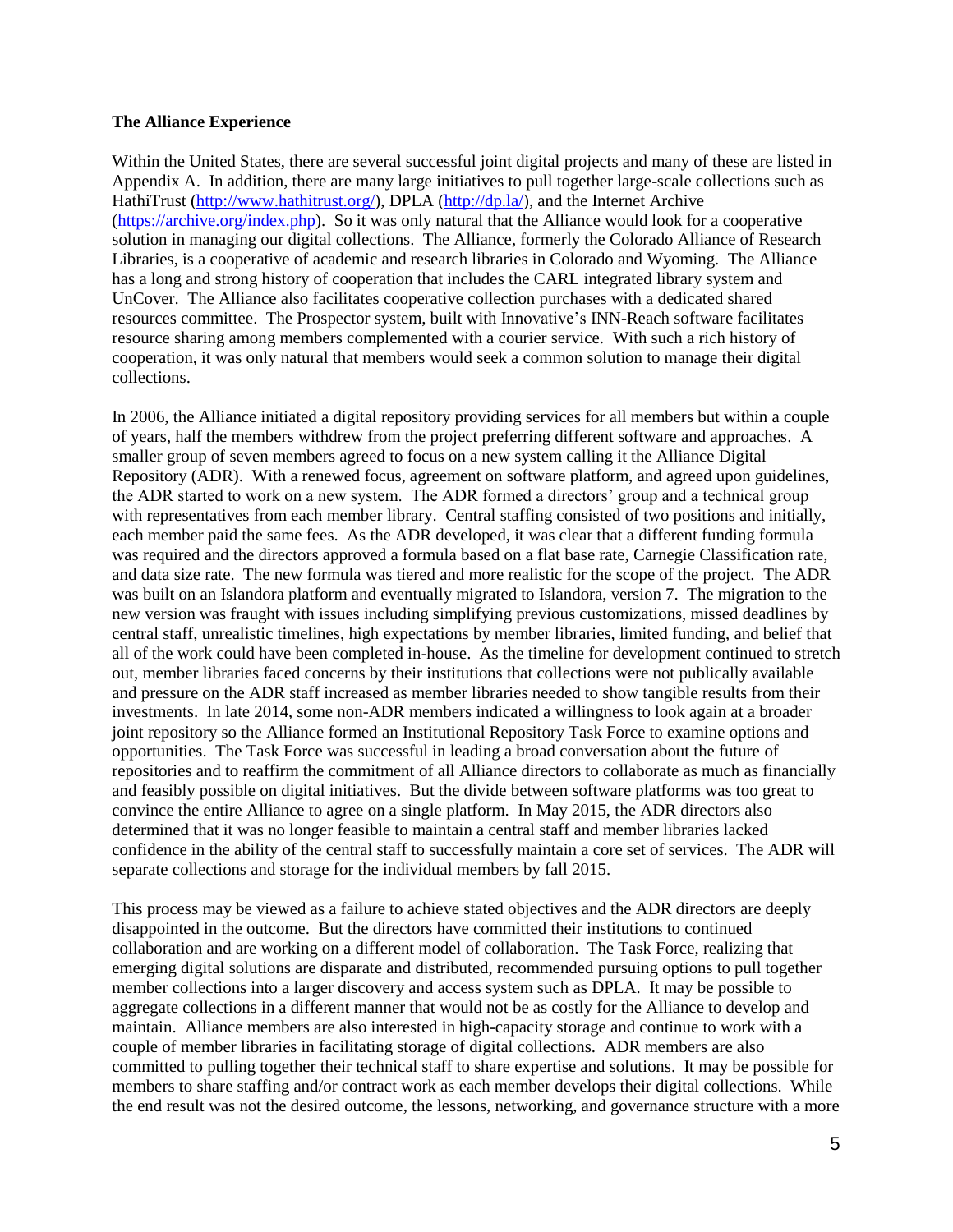#### **The Alliance Experience**

Within the United States, there are several successful joint digital projects and many of these are listed in Appendix A. In addition, there are many large initiatives to pull together large-scale collections such as HathiTrust [\(http://www.hathitrust.org/\)](http://www.hathitrust.org/), DPLA [\(http://dp.la/\)](http://dp.la/), and the Internet Archive [\(https://archive.org/index.php\)](https://archive.org/index.php). So it was only natural that the Alliance would look for a cooperative solution in managing our digital collections. The Alliance, formerly the Colorado Alliance of Research Libraries, is a cooperative of academic and research libraries in Colorado and Wyoming. The Alliance has a long and strong history of cooperation that includes the CARL integrated library system and UnCover. The Alliance also facilitates cooperative collection purchases with a dedicated shared resources committee. The Prospector system, built with Innovative's INN-Reach software facilitates resource sharing among members complemented with a courier service. With such a rich history of cooperation, it was only natural that members would seek a common solution to manage their digital collections.

In 2006, the Alliance initiated a digital repository providing services for all members but within a couple of years, half the members withdrew from the project preferring different software and approaches. A smaller group of seven members agreed to focus on a new system calling it the Alliance Digital Repository (ADR). With a renewed focus, agreement on software platform, and agreed upon guidelines, the ADR started to work on a new system. The ADR formed a directors' group and a technical group with representatives from each member library. Central staffing consisted of two positions and initially, each member paid the same fees. As the ADR developed, it was clear that a different funding formula was required and the directors approved a formula based on a flat base rate, Carnegie Classification rate, and data size rate. The new formula was tiered and more realistic for the scope of the project. The ADR was built on an Islandora platform and eventually migrated to Islandora, version 7. The migration to the new version was fraught with issues including simplifying previous customizations, missed deadlines by central staff, unrealistic timelines, high expectations by member libraries, limited funding, and belief that all of the work could have been completed in-house. As the timeline for development continued to stretch out, member libraries faced concerns by their institutions that collections were not publically available and pressure on the ADR staff increased as member libraries needed to show tangible results from their investments. In late 2014, some non-ADR members indicated a willingness to look again at a broader joint repository so the Alliance formed an Institutional Repository Task Force to examine options and opportunities. The Task Force was successful in leading a broad conversation about the future of repositories and to reaffirm the commitment of all Alliance directors to collaborate as much as financially and feasibly possible on digital initiatives. But the divide between software platforms was too great to convince the entire Alliance to agree on a single platform. In May 2015, the ADR directors also determined that it was no longer feasible to maintain a central staff and member libraries lacked confidence in the ability of the central staff to successfully maintain a core set of services. The ADR will separate collections and storage for the individual members by fall 2015.

This process may be viewed as a failure to achieve stated objectives and the ADR directors are deeply disappointed in the outcome. But the directors have committed their institutions to continued collaboration and are working on a different model of collaboration. The Task Force, realizing that emerging digital solutions are disparate and distributed, recommended pursuing options to pull together member collections into a larger discovery and access system such as DPLA. It may be possible to aggregate collections in a different manner that would not be as costly for the Alliance to develop and maintain. Alliance members are also interested in high-capacity storage and continue to work with a couple of member libraries in facilitating storage of digital collections. ADR members are also committed to pulling together their technical staff to share expertise and solutions. It may be possible for members to share staffing and/or contract work as each member develops their digital collections. While the end result was not the desired outcome, the lessons, networking, and governance structure with a more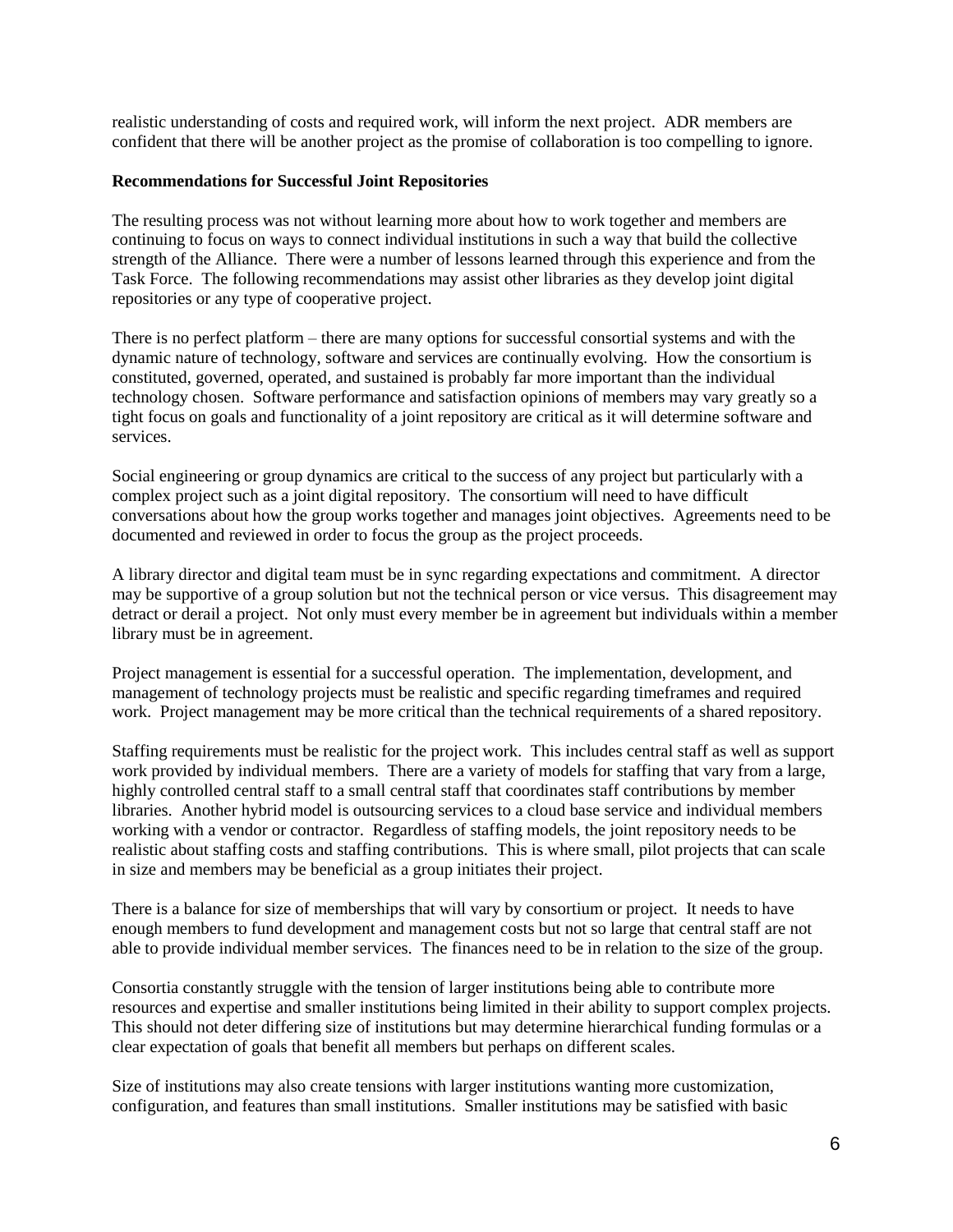realistic understanding of costs and required work, will inform the next project. ADR members are confident that there will be another project as the promise of collaboration is too compelling to ignore.

### **Recommendations for Successful Joint Repositories**

The resulting process was not without learning more about how to work together and members are continuing to focus on ways to connect individual institutions in such a way that build the collective strength of the Alliance. There were a number of lessons learned through this experience and from the Task Force. The following recommendations may assist other libraries as they develop joint digital repositories or any type of cooperative project.

There is no perfect platform – there are many options for successful consortial systems and with the dynamic nature of technology, software and services are continually evolving. How the consortium is constituted, governed, operated, and sustained is probably far more important than the individual technology chosen. Software performance and satisfaction opinions of members may vary greatly so a tight focus on goals and functionality of a joint repository are critical as it will determine software and services.

Social engineering or group dynamics are critical to the success of any project but particularly with a complex project such as a joint digital repository. The consortium will need to have difficult conversations about how the group works together and manages joint objectives. Agreements need to be documented and reviewed in order to focus the group as the project proceeds.

A library director and digital team must be in sync regarding expectations and commitment. A director may be supportive of a group solution but not the technical person or vice versus. This disagreement may detract or derail a project. Not only must every member be in agreement but individuals within a member library must be in agreement.

Project management is essential for a successful operation. The implementation, development, and management of technology projects must be realistic and specific regarding timeframes and required work. Project management may be more critical than the technical requirements of a shared repository.

Staffing requirements must be realistic for the project work. This includes central staff as well as support work provided by individual members. There are a variety of models for staffing that vary from a large, highly controlled central staff to a small central staff that coordinates staff contributions by member libraries. Another hybrid model is outsourcing services to a cloud base service and individual members working with a vendor or contractor. Regardless of staffing models, the joint repository needs to be realistic about staffing costs and staffing contributions. This is where small, pilot projects that can scale in size and members may be beneficial as a group initiates their project.

There is a balance for size of memberships that will vary by consortium or project. It needs to have enough members to fund development and management costs but not so large that central staff are not able to provide individual member services. The finances need to be in relation to the size of the group.

Consortia constantly struggle with the tension of larger institutions being able to contribute more resources and expertise and smaller institutions being limited in their ability to support complex projects. This should not deter differing size of institutions but may determine hierarchical funding formulas or a clear expectation of goals that benefit all members but perhaps on different scales.

Size of institutions may also create tensions with larger institutions wanting more customization, configuration, and features than small institutions. Smaller institutions may be satisfied with basic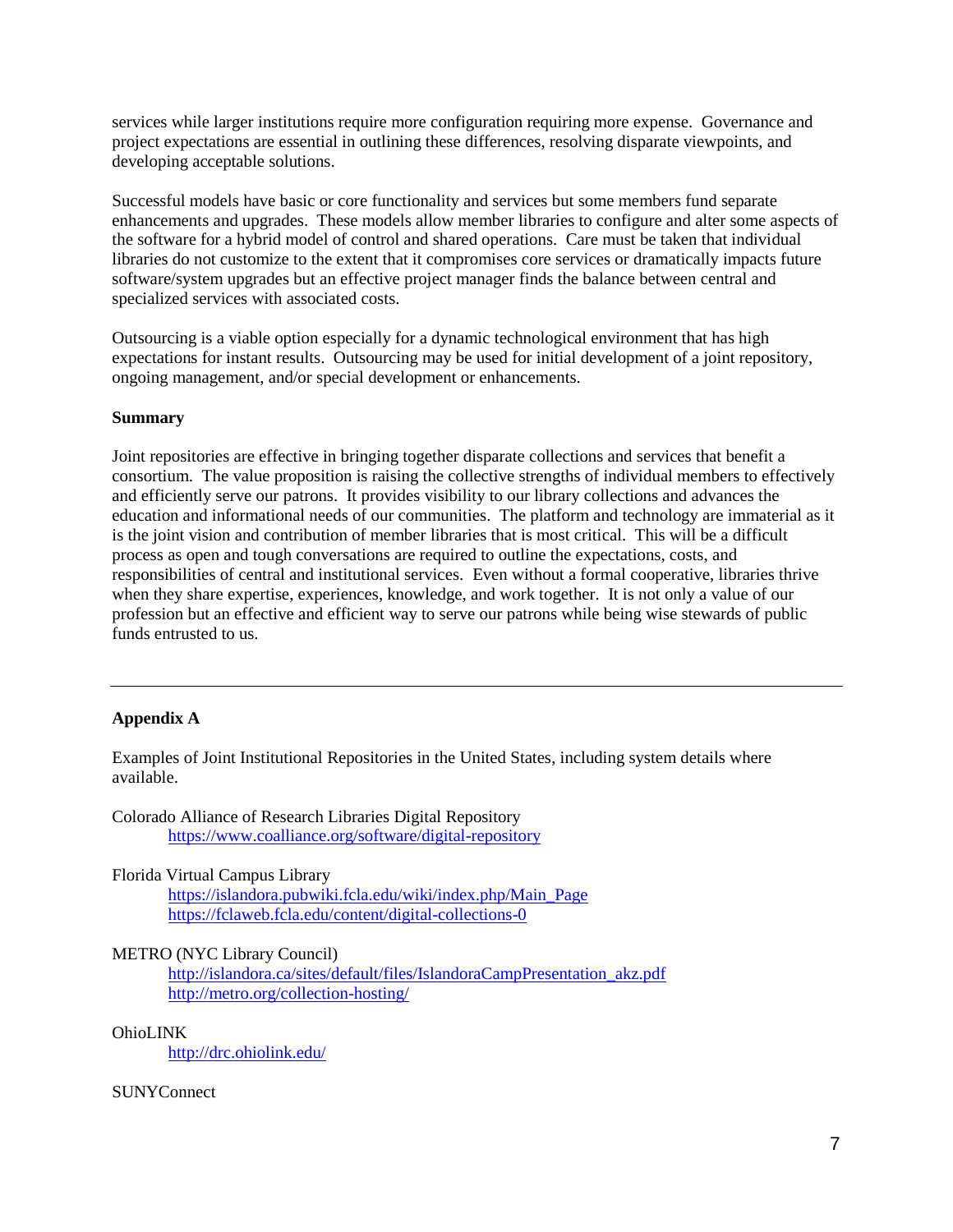services while larger institutions require more configuration requiring more expense. Governance and project expectations are essential in outlining these differences, resolving disparate viewpoints, and developing acceptable solutions.

Successful models have basic or core functionality and services but some members fund separate enhancements and upgrades. These models allow member libraries to configure and alter some aspects of the software for a hybrid model of control and shared operations. Care must be taken that individual libraries do not customize to the extent that it compromises core services or dramatically impacts future software/system upgrades but an effective project manager finds the balance between central and specialized services with associated costs.

Outsourcing is a viable option especially for a dynamic technological environment that has high expectations for instant results. Outsourcing may be used for initial development of a joint repository, ongoing management, and/or special development or enhancements.

### **Summary**

Joint repositories are effective in bringing together disparate collections and services that benefit a consortium. The value proposition is raising the collective strengths of individual members to effectively and efficiently serve our patrons. It provides visibility to our library collections and advances the education and informational needs of our communities. The platform and technology are immaterial as it is the joint vision and contribution of member libraries that is most critical. This will be a difficult process as open and tough conversations are required to outline the expectations, costs, and responsibilities of central and institutional services. Even without a formal cooperative, libraries thrive when they share expertise, experiences, knowledge, and work together. It is not only a value of our profession but an effective and efficient way to serve our patrons while being wise stewards of public funds entrusted to us.

## **Appendix A**

Examples of Joint Institutional Repositories in the United States, including system details where available.

Colorado Alliance of Research Libraries Digital Repository <https://www.coalliance.org/software/digital-repository>

Florida Virtual Campus Library

[https://islandora.pubwiki.fcla.edu/wiki/index.php/Main\\_Page](https://islandora.pubwiki.fcla.edu/wiki/index.php/Main_Page) <https://fclaweb.fcla.edu/content/digital-collections-0>

### METRO (NYC Library Council)

[http://islandora.ca/sites/default/files/IslandoraCampPresentation\\_akz.pdf](http://islandora.ca/sites/default/files/IslandoraCampPresentation_akz.pdf) <http://metro.org/collection-hosting/>

### OhioLINK

<http://drc.ohiolink.edu/>

### **SUNYConnect**